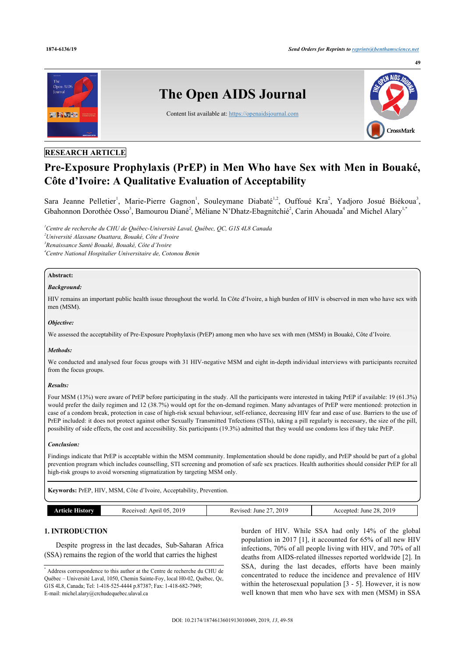

## **RESEARCH ARTICLE**

# **Pre-Exposure Prophylaxis (PrEP) in Men Who have Sex with Men in Bouaké, Côte d'Ivoire: A Qualitative Evaluation of Acceptability**

Sara Jeanne Pelletier<sup>[1](#page-0-0)</sup>, Marie-Pierre Gagnon<sup>1</sup>, Souleymane Diabaté<sup>1,[2](#page-0-1)</sup>, Ouffoué Kra<sup>2</sup>, Yadjoro Josué Biékoua<sup>[3](#page-0-2)</sup>, Gbahonnon Dorothée Osso<sup>[3](#page-0-2)</sup>, Bamourou Diané<sup>[2](#page-0-1)</sup>, Méliane N'Dhatz-Ebagnitchié<sup>2</sup>, Carin Ahouada<sup>[4](#page-0-3)</sup> and Michel Alary<sup>[1,](#page-0-0)[\\*](#page-0-4)</sup>

<span id="page-0-3"></span><span id="page-0-2"></span><span id="page-0-1"></span><span id="page-0-0"></span>*Centre de recherche du CHU de Québec-Université Laval, Québec, QC, G1S 4L8 Canada Université Alassane Ouattara, Bouaké, Côte d'Ivoire Renaissance Santé Bouaké, Bouaké, Côte d'Ivoire Centre National Hospitalier Universitaire de, Cotonou Benin*

### **Abstract:**

### *Background:*

HIV remains an important public health issue throughout the world. In Côte d'Ivoire, a high burden of HIV is observed in men who have sex with men (MSM).

### *Objective:*

We assessed the acceptability of Pre-Exposure Prophylaxis (PrEP) among men who have sex with men (MSM) in Bouaké, Côte d'Ivoire.

#### *Methods:*

We conducted and analysed four focus groups with 31 HIV-negative MSM and eight in-depth individual interviews with participants recruited from the focus groups.

#### *Results:*

Four MSM (13%) were aware of PrEP before participating in the study. All the participants were interested in taking PrEP if available: 19 (61.3%) would prefer the daily regimen and 12 (38.7%) would opt for the on-demand regimen. Many advantages of PrEP were mentioned: protection in case of a condom break, protection in case of high-risk sexual behaviour, self-reliance, decreasing HIV fear and ease of use. Barriers to the use of PrEP included: it does not protect against other Sexually Transmitted Tnfections (STIs), taking a pill regularly is necessary, the size of the pill, possibility of side effects, the cost and accessibility. Six participants (19.3%) admitted that they would use condoms less if they take PrEP.

#### *Conclusion:*

Findings indicate that PrEP is acceptable within the MSM community. Implementation should be done rapidly, and PrEP should be part of a global prevention program which includes counselling, STI screening and promotion of safe sex practices. Health authorities should consider PrEP for all high-risk groups to avoid worsening stigmatization by targeting MSM only.

**Keywords:** PrEP, HIV, MSM, Côte d'Ivoire, Acceptability, Prevention.

| 17 L<br>৲<br>.<br>.<br>.<br>. | orv | . .<br>20 <sub>1</sub><br>.<br>Anr<br>.ved | 2019<br>June<br>/ised | 2019<br>28.<br>June<br>enteu. |
|-------------------------------|-----|--------------------------------------------|-----------------------|-------------------------------|
|-------------------------------|-----|--------------------------------------------|-----------------------|-------------------------------|

### **1. INTRODUCTION**

Despite progress in the last decades, Sub-Saharan Africa (SSA) remains the region of the world that carries the highest

<span id="page-0-4"></span>\* Address correspondence to this author at the Centre de recherche du CHU de Québec – Université Laval, 1050, Chemin Sainte-Foy, local H0-02, Québec, Qc, G1S 4L8, Canada; Tel: 1-418-525-4444 p.87387; Fax: 1-418-682-7949; E-mail: [michel.alary@crchudequebec.ulaval.ca](mailto:michel.alary@crchudequebec.ulaval.ca)

burden of HIV. While SSA had only 14% of the global population in 2017 [[1\]](#page-8-0), it accounted for 65% of all new HIV infections, 70% of all people living with HIV, and 70% of all deaths from AIDS-related illnesses reported worldwide [[2](#page-8-1)]. In SSA, during the last decades, efforts have been mainly concentrated to reduce the incidence and prevalence of HIV within the heterosexual population [[3](#page-8-2) - [5](#page-8-3)]. However, it is now well known that men who have sex with men (MSM) in SSA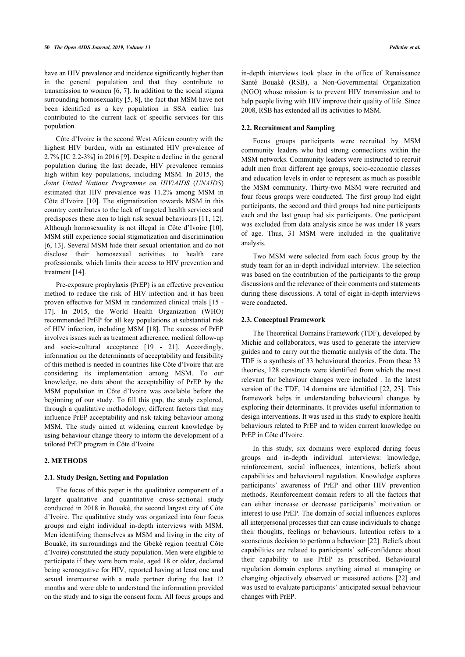have an HIV prevalence and incidence significantly higher than in the general population and that they contribute to transmission to women [\[6](#page-8-4), [7\]](#page-8-5). In addition to the social stigma surrounding homosexuality [[5,](#page-8-3) [8\]](#page-8-6), the fact that MSM have not been identified as a key population in SSA earlier has contributed to the current lack of specific services for this population.

Côte d'Ivoire is the second West African country with the highest HIV burden, with an estimated HIV prevalence of 2.7% [IC 2.2-3%] in 2016 [\[9\]](#page-8-7). Despite a decline in the general population during the last decade, HIV prevalence remains high within key populations, including MSM. In 2015, the *Joint United Nations Programme on HIV*/*AIDS* (*UNAIDS*) estimated that HIV prevalence was 11.2% among MSM in Côte d'Ivoire [[10\]](#page-8-8). The stigmatization towards MSM in this country contributes to the lack of targeted health services and predisposes these men to high risk sexual behaviours [[11](#page-8-9), [12\]](#page-8-10). Although homosexuality is not illegal in Côte d'Ivoire [[10\]](#page-8-8), MSM still experience social stigmatization and discrimination [[6](#page-8-4), [13](#page-8-11)]. Several MSM hide their sexual orientation and do not disclose their homosexual activities to health care professionals, which limits their access to HIV prevention and treatment [[14\]](#page-8-12).

Pre-exposure prophylaxis **(**PrEP) is an effective prevention method to reduce the risk of HIV infection and it has been proven effective for MSM in randomized clinical trials [[15](#page-8-13) - [17\]](#page-8-14). In 2015, the World Health Organization (WHO) recommended PrEP for all key populations at substantial risk of HIV infection, including MSM [[18\]](#page-8-15). The success of PrEP involves issues such as treatment adherence, medical follow-up and socio-cultural acceptance[[19](#page-8-16) - [21\]](#page-8-17). Accordingly, information on the determinants of acceptability and feasibility of this method is needed in countries like Côte d'Ivoire that are considering its implementation among MSM. To our knowledge, no data about the acceptability of PrEP by the MSM population in Côte d'Ivoire was available before the beginning of our study. To fill this gap, the study explored, through a qualitative methodology, different factors that may influence PrEP acceptability and risk-taking behaviour among MSM. The study aimed at widening current knowledge by using behaviour change theory to inform the development of a tailored PrEP program in Côte d'Ivoire.

### **2. METHODS**

#### **2.1. Study Design, Setting and Population**

The focus of this paper is the qualitative component of a larger qualitative and quantitative cross-sectional study conducted in 2018 in Bouaké, the second largest city of Côte d'Ivoire. The qualitative study was organized into four focus groups and eight individual in-depth interviews with MSM. Men identifying themselves as MSM and living in the city of Bouaké, its surroundings and the Gbèkè region (central Côte d'Ivoire) constituted the study population. Men were eligible to participate if they were born male, aged 18 or older, declared being seronegative for HIV, reported having at least one anal sexual intercourse with a male partner during the last 12 months and were able to understand the information provided on the study and to sign the consent form. All focus groups and

in-depth interviews took place in the office of Renaissance Santé Bouaké (RSB), a Non-Governmental Organization (NGO) whose mission is to prevent HIV transmission and to help people living with HIV improve their quality of life. Since 2008, RSB has extended all its activities to MSM.

### **2.2. Recruitment and Sampling**

Focus groups participants were recruited by MSM community leaders who had strong connections within the MSM networks. Community leaders were instructed to recruit adult men from different age groups, socio-economic classes and education levels in order to represent as much as possible the MSM community. Thirty-two MSM were recruited and four focus groups were conducted. The first group had eight participants, the second and third groups had nine participants each and the last group had six participants. One participant was excluded from data analysis since he was under 18 years of age. Thus, 31 MSM were included in the qualitative analysis.

Two MSM were selected from each focus group by the study team for an in-depth individual interview. The selection was based on the contribution of the participants to the group discussions and the relevance of their comments and statements during these discussions. A total of eight in-depth interviews were conducted.

### **2.3. Conceptual Framework**

The Theoretical Domains Framework (TDF), developed by Michie and collaborators, was used to generate the interview guides and to carry out the thematic analysis of the data. The TDF is a synthesis of 33 behavioural theories. From these 33 theories, 128 constructs were identified from which the most relevant for behaviour changes were included . In the latest version of the TDF, 14 domains are identified [[22](#page-8-18), [23\]](#page-8-19). This framework helps in understanding behavioural changes by exploring their determinants. It provides useful information to design interventions. It was used in this study to explore health behaviours related to PrEP and to widen current knowledge on PrEP in Côte d'Ivoire.

In this study, six domains were explored during focus groups and in-depth individual interviews: knowledge, reinforcement, social influences, intentions, beliefs about capabilities and behavioural regulation. Knowledge explores participants' awareness of PrEP and other HIV prevention methods. Reinforcement domain refers to all the factors that can either increase or decrease participants' motivation or interest to use PrEP. The domain of social influences explores all interpersonal processes that can cause individuals to change their thoughts, feelings or behaviours. Intention refers to a «conscious decision to perform a behaviour [[22\]](#page-8-18). Beliefs about capabilities are related to participants' self-confidence about their capability to use PrEP as prescribed. Behavioural regulation domain explores anything aimed at managing or changing objectively observed or measured actions [[22\]](#page-8-18) and was used to evaluate participants' anticipated sexual behaviour changes with PrEP.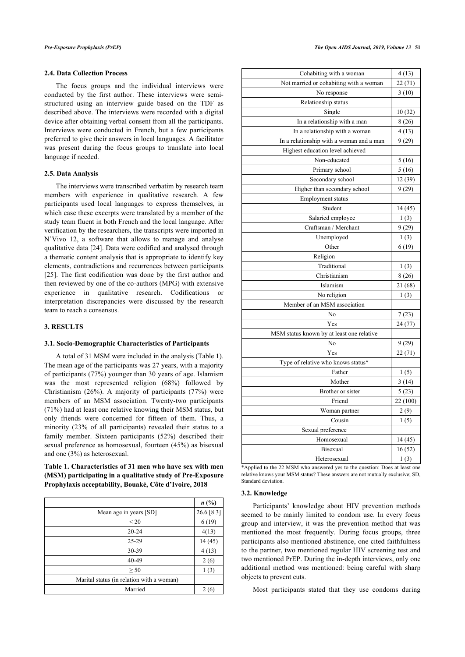### **2.4. Data Collection Process**

The focus groups and the individual interviews were conducted by the first author. These interviews were semistructured using an interview guide based on the TDF as described above. The interviews were recorded with a digital device after obtaining verbal consent from all the participants. Interviews were conducted in French, but a few participants preferred to give their answers in local languages. A facilitator was present during the focus groups to translate into local language if needed.

#### **2.5. Data Analysis**

The interviews were transcribed verbatim by research team members with experience in qualitative research. A few participants used local languages to express themselves, in which case these excerpts were translated by a member of the study team fluent in both French and the local language. After verification by the researchers, the transcripts were imported in N'Vivo 12, a software that allows to manage and analyse qualitative data [[24\]](#page-8-20). Data were codified and analysed through a thematic content analysis that is appropriate to identify key elements, contradictions and recurrences between participants [[25\]](#page-8-21). The first codification was done by the first author and then reviewed by one of the co-authors (MPG) with extensive experience in qualitative research. Codifications or interpretation discrepancies were discussed by the research team to reach a consensus.

#### **3. RESULTS**

#### **3.1. Socio-Demographic Characteristics of Participants**

A total of 31 MSM were included in the analysis (Table **[1](#page-2-0)**). The mean age of the participants was 27 years, with a majority of participants (77%) younger than 30 years of age. Islamism was the most represented religion (68%) followed by Christianism (26%). A majority of participants (77%) were members of an MSM association. Twenty-two participants (71%) had at least one relative knowing their MSM status, but only friends were concerned for fifteen of them. Thus, a minority (23% of all participants) revealed their status to a family member. Sixteen participants (52%) described their sexual preference as homosexual, fourteen (45%) as bisexual and one (3%) as heterosexual.

### <span id="page-2-0"></span>**Table 1. Characteristics of 31 men who have sex with men (MSM) participating in a qualitative study of Pre-Exposure Prophylaxis acceptability, Bouaké, Côte d'Ivoire, 2018**

|                                           | n(%)       |
|-------------------------------------------|------------|
| Mean age in years [SD]                    | 26.6 [8.3] |
| < 20                                      | 6(19)      |
| $20 - 24$                                 | 4(13)      |
| $25 - 29$                                 | 14(45)     |
| 30-39                                     | 4(13)      |
| 40-49                                     | 2(6)       |
| $\geq 50$                                 | 1(3)       |
| Marital status (in relation with a woman) |            |
| Married                                   | 2(6)       |

| Cohabiting with a woman                   | 4(13)    |
|-------------------------------------------|----------|
| Not married or cohabiting with a woman    | 22(71)   |
| No response                               | 3(10)    |
| Relationship status                       |          |
| Single                                    | 10(32)   |
| In a relationship with a man              | 8 (26)   |
| In a relationship with a woman            | 4(13)    |
| In a relationship with a woman and a man  | 9(29)    |
| Highest education level achieved          |          |
| Non-educated                              | 5(16)    |
| Primary school                            | 5(16)    |
| Secondary school                          | 12 (39)  |
| Higher than secondary school              | 9(29)    |
| Employment status                         |          |
| Student                                   | 14 (45)  |
| Salaried employee                         | 1(3)     |
| Craftsman / Merchant                      | 9(29)    |
| Unemployed                                | 1(3)     |
| Other                                     | 6(19)    |
| Religion                                  |          |
| Traditional                               | 1(3)     |
| Christianism                              | 8(26)    |
| Islamism                                  | 21 (68)  |
| No religion                               | 1(3)     |
| Member of an MSM association              |          |
| No                                        | 7(23)    |
| Yes                                       | 24 (77)  |
| MSM status known by at least one relative |          |
| No                                        | 9(29)    |
| Yes                                       | 22 (71)  |
| Type of relative who knows status*        |          |
| Father                                    | 1(5)     |
| Mother                                    | 3(14)    |
| Brother or sister                         | 5(23)    |
| Friend                                    | 22 (100) |
| Woman partner                             | 2(9)     |
| Cousin                                    | 1(5)     |
| Sexual preference                         |          |
| Homosexual                                | 14 (45)  |
| Bisexual                                  | 16(52)   |
| Heterosexual                              | 1(3)     |

\*Applied to the 22 MSM who answered yes to the question: Does at least one relative knows your MSM status? These answers are not mutually exclusive; SD, Standard deviation.

#### **3.2. Knowledge**

Participants' knowledge about HIV prevention methods seemed to be mainly limited to condom use. In every focus group and interview, it was the prevention method that was mentioned the most frequently. During focus groups, three participants also mentioned abstinence, one cited faithfulness to the partner, two mentioned regular HIV screening test and two mentioned PrEP. During the in-depth interviews, only one additional method was mentioned: being careful with sharp objects to prevent cuts.

Most participants stated that they use condoms during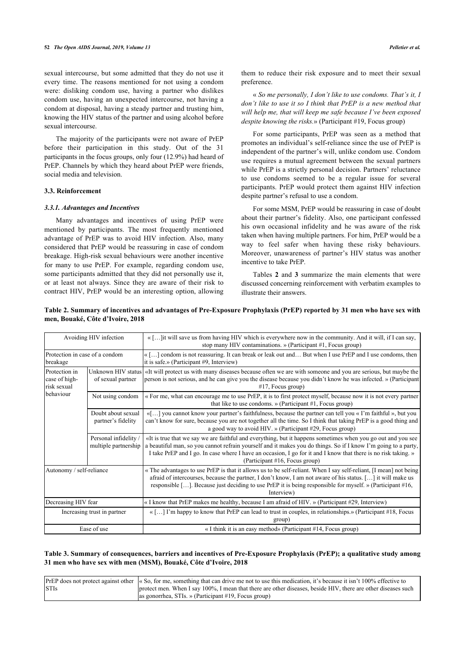sexual intercourse, but some admitted that they do not use it every time. The reasons mentioned for not using a condom were: disliking condom use, having a partner who dislikes condom use, having an unexpected intercourse, not having a condom at disposal, having a steady partner and trusting him, knowing the HIV status of the partner and using alcohol before sexual intercourse.

The majority of the participants were not aware of PrEP before their participation in this study. Out of the 31 participants in the focus groups, only four (12.9%) had heard of PrEP. Channels by which they heard about PrEP were friends, social media and television.

### **3.3. Reinforcement**

#### *3.3.1. Advantages and Incentives*

Many advantages and incentives of using PrEP were mentioned by participants. The most frequently mentioned advantage of PrEP was to avoid HIV infection. Also, many considered that PrEP would be reassuring in case of condom breakage. High-risk sexual behaviours were another incentive for many to use PrEP. For example, regarding condom use, some participants admitted that they did not personally use it, or at least not always. Since they are aware of their risk to contract HIV, PrEP would be an interesting option, allowing them to reduce their risk exposure and to meet their sexual preference.

« *So me personally, I don't like to use condoms. That's it, I don't like to use it so I think that PrEP is a new method that will help me, that will keep me safe because I've been exposed despite knowing the risks.*» (Participant #19, Focus group)

For some participants, PrEP was seen as a method that promotes an individual's self-reliance since the use of PrEP is independent of the partner's will, unlike condom use. Condom use requires a mutual agreement between the sexual partners while PrEP is a strictly personal decision. Partners' reluctance to use condoms seemed to be a regular issue for several participants. PrEP would protect them against HIV infection despite partner's refusal to use a condom.

For some MSM, PrEP would be reassuring in case of doubt about their partner's fidelity. Also, one participant confessed his own occasional infidelity and he was aware of the risk taken when having multiple partners. For him, PrEP would be a way to feel safer when having these risky behaviours. Moreover, unawareness of partner's HIV status was another incentive to take PrEP.

Tables**2** and**3** summarize the main elements that were discussed concerning reinforcement with verbatim examples to illustrate their answers.

<span id="page-3-0"></span>

| Table 2. Summary of incentives and advantages of Pre-Exposure Prophylaxis (PrEP) reported by 31 men who have sex with |  |  |
|-----------------------------------------------------------------------------------------------------------------------|--|--|
| men, Bouaké, Côte d'Ivoire, 2018                                                                                      |  |  |

| Avoiding HIV infection                        |                                               | $\langle$ [] it will save us from having HIV which is everywhere now in the community. And it will, if I can say,<br>stop many HIV contaminations. » (Participant $#1$ , Focus group)                                                                                                                                                                                              |
|-----------------------------------------------|-----------------------------------------------|------------------------------------------------------------------------------------------------------------------------------------------------------------------------------------------------------------------------------------------------------------------------------------------------------------------------------------------------------------------------------------|
| Protection in case of a condom<br>breakage    |                                               | « [] condom is not reassuring. It can break or leak out and But when I use PrEP and I use condoms, then<br>it is safe.» (Participant #9, Interview)                                                                                                                                                                                                                                |
| Protection in<br>case of high-<br>risk sexual | of sexual partner                             | Unknown HIV status («It will protect us with many diseases because often we are with someone and you are serious, but maybe the<br>person is not serious, and he can give you the disease because you didn't know he was infected. » (Participant<br>#17, Focus group)                                                                                                             |
| behaviour                                     | Not using condom                              | « For me, what can encourage me to use PrEP, it is to first protect myself, because now it is not every partner<br>that like to use condoms. » (Participant #1, Focus group)                                                                                                                                                                                                       |
|                                               | Doubt about sexual<br>partner's fidelity      | «[] you cannot know your partner's faithfulness, because the partner can tell you « I'm faithful », but you<br>can't know for sure, because you are not together all the time. So I think that taking PrEP is a good thing and<br>a good way to avoid HIV. » (Participant #29, Focus group)                                                                                        |
|                                               | Personal infidelity /<br>multiple partnership | «It is true that we say we are faithful and everything, but it happens sometimes when you go out and you see<br>a beautiful man, so you cannot refrain yourself and it makes you do things. So if I know I'm going to a party,<br>I take PrEP and I go. In case where I have an occasion, I go for it and I know that there is no risk taking, »<br>(Participant #16, Focus group) |
| Autonomy / self-reliance                      |                                               | « The advantages to use PrEP is that it allows us to be self-reliant. When I say self-reliant, [I mean] not being<br>afraid of intercourses, because the partner, I don't know, I am not aware of his status. [] it will make us<br>responsible []. Because just deciding to use PrEP it is being responsible for myself. » (Participant #16,<br>Interview)                        |
| Decreasing HIV fear                           |                                               | « I know that PrEP makes me healthy, because I am afraid of HIV. » (Participant $\#29$ , Interview)                                                                                                                                                                                                                                                                                |
| Increasing trust in partner                   |                                               | $\langle \dots   \text{I'm happy to know that PrEP can lead to trust in couples, in relationships.} \rangle$ (Participant #18, Focus<br>group)                                                                                                                                                                                                                                     |
| Ease of use                                   |                                               | « I think it is an easy method» (Participant $#14$ , Focus group)                                                                                                                                                                                                                                                                                                                  |

### <span id="page-3-1"></span>**Table 3. Summary of consequences, barriers and incentives of Pre-Exposure Prophylaxis (PrEP); a qualitative study among 31 men who have sex with men (MSM), Bouaké, Côte d'Ivoire, 2018**

|             | PrEP does not protect against other $\alpha$ So, for me, something that can drive me not to use this medication, it's because it isn't 100% effective to |
|-------------|----------------------------------------------------------------------------------------------------------------------------------------------------------|
| <b>STIs</b> | protect men. When I say 100%, I mean that there are other diseases, beside HIV, there are other diseases such                                            |
|             | as gonorrhea, STIs. » (Participant #19, Focus group)                                                                                                     |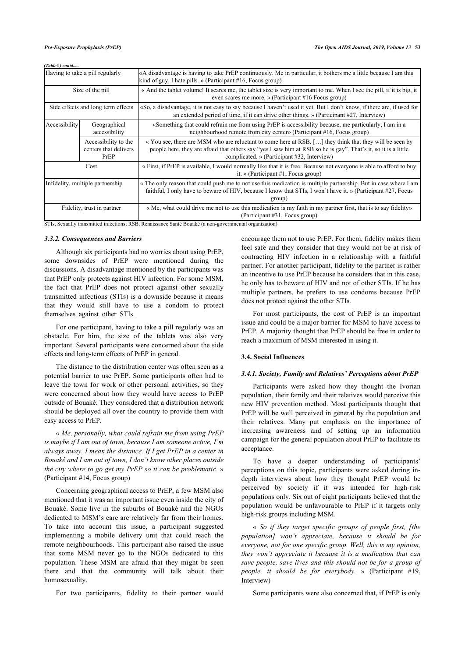#### *(Table ) contd.....*

| Having to take a pill regularly                |                                                       | «A disadvantage is having to take PrEP continuously. Me in particular, it bothers me a little because I am this<br>kind of guy, I hate pills. » (Participant $#16$ , Focus group)                                                                                        |
|------------------------------------------------|-------------------------------------------------------|--------------------------------------------------------------------------------------------------------------------------------------------------------------------------------------------------------------------------------------------------------------------------|
| Size of the pill                               |                                                       | « And the tablet volume! It scares me, the tablet size is very important to me. When I see the pill, if it is big, it<br>even scares me more. » (Participant #16 Focus group)                                                                                            |
| Side effects and long term effects             |                                                       | «So, a disadvantage, it is not easy to say because I haven't used it yet. But I don't know, if there are, if used for<br>an extended period of time, if it can drive other things. » (Participant $\#27$ , Interview)                                                    |
| Accessibility<br>Geographical<br>accessibility |                                                       | «Something that could refrain me from using PrEP is accessibility because, me particularly, I am in a<br>neighbourhood remote from city center» (Participant #16, Focus group)                                                                                           |
|                                                | Accessibility to the<br>centers that delivers<br>PrEP | « You see, there are MSM who are reluctant to come here at RSB. [] they think that they will be seen by<br>people here, they are afraid that others say "yes I saw him at RSB so he is gay". That's it, so it is a little<br>complicated. » (Participant #32, Interview) |
| Cost                                           |                                                       | « First, if PrEP is available, I would normally like that it is free. Because not everyone is able to afford to buy<br>it. » (Participant $#1$ , Focus group)                                                                                                            |
| Infidelity, multiple partnership               |                                                       | « The only reason that could push me to not use this medication is multiple partnership. But in case where I am<br>faithful, I only have to beware of HIV, because I know that STIs, I won't have it. » (Participant #27, Focus<br>group)                                |
| Fidelity, trust in partner                     |                                                       | « Me, what could drive me not to use this medication is my faith in my partner first, that is to say fidelity»<br>(Participant #31, Focus group)                                                                                                                         |

STIs, Sexually transmitted infections; RSB, Renaissance Santé Bouaké (a non-governmental organization)

#### *3.3.2. Consequences and Barriers*

Although six participants had no worries about using PrEP, some downsides of PrEP were mentioned during the discussions. A disadvantage mentioned by the participants was that PrEP only protects against HIV infection. For some MSM, the fact that PrEP does not protect against other sexually transmitted infections (STIs) is a downside because it means that they would still have to use a condom to protect themselves against other STIs.

For one participant, having to take a pill regularly was an obstacle. For him, the size of the tablets was also very important. Several participants were concerned about the side effects and long-term effects of PrEP in general.

The distance to the distribution center was often seen as a potential barrier to use PrEP. Some participants often had to leave the town for work or other personal activities, so they were concerned about how they would have access to PrEP outside of Bouaké. They considered that a distribution network should be deployed all over the country to provide them with easy access to PrEP.

« *Me, personally, what could refrain me from using PrEP is maybe if I am out of town, because I am someone active, I'm always away. I mean the distance. If I get PrEP in a center in Bouaké and I am out of town, I don't know other places outside the city where to go get my PrEP so it can be problematic.* » (Participant #14, Focus group)

Concerning geographical access to PrEP, a few MSM also mentioned that it was an important issue even inside the city of Bouaké. Some live in the suburbs of Bouaké and the NGOs dedicated to MSM's care are relatively far from their homes. To take into account this issue, a participant suggested implementing a mobile delivery unit that could reach the remote neighbourhoods. This participant also raised the issue that some MSM never go to the NGOs dedicated to this population. These MSM are afraid that they might be seen there and that the community will talk about their homosexuality.

For two participants, fidelity to their partner would

encourage them not to use PrEP. For them, fidelity makes them feel safe and they consider that they would not be at risk of contracting HIV infection in a relationship with a faithful partner. For another participant, fidelity to the partner is rather an incentive to use PrEP because he considers that in this case, he only has to beware of HIV and not of other STIs. If he has multiple partners, he prefers to use condoms because PrEP does not protect against the other STIs.

For most participants, the cost of PrEP is an important issue and could be a major barrier for MSM to have access to PrEP. A majority thought that PrEP should be free in order to reach a maximum of MSM interested in using it.

### **3.4. Social Influences**

#### *3.4.1. Society, Family and Relatives' Perceptions about PrEP*

Participants were asked how they thought the Ivorian population, their family and their relatives would perceive this new HIV prevention method. Most participants thought that PrEP will be well perceived in general by the population and their relatives. Many put emphasis on the importance of increasing awareness and of setting up an information campaign for the general population about PrEP to facilitate its acceptance.

To have a deeper understanding of participants' perceptions on this topic, participants were asked during indepth interviews about how they thought PrEP would be perceived by society if it was intended for high-risk populations only. Six out of eight participants believed that the population would be unfavourable to PrEP if it targets only high-risk groups including MSM.

« *So if they target specific groups of people first, [the population] won't appreciate, because it should be for everyone, not for one specific group. Well, this is my opinion, they won't appreciate it because it is a medication that can save people, save lives and this should not be for a group of people, it should be for everybody.* » (Participant #19, Interview)

Some participants were also concerned that, if PrEP is only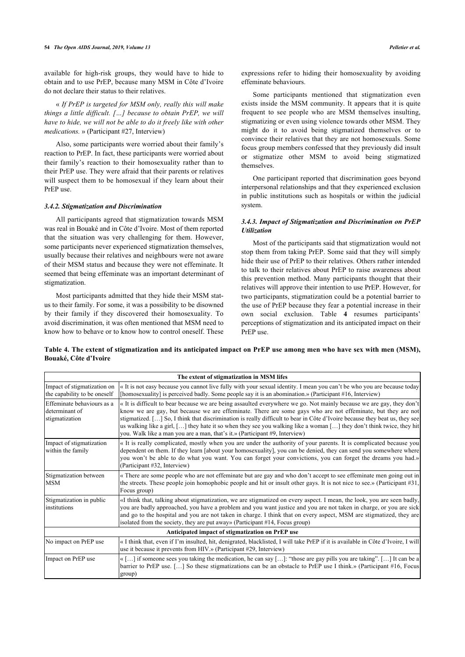available for high-risk groups, they would have to hide to obtain and to use PrEP, because many MSM in Côte d'Ivoire do not declare their status to their relatives.

« *If PrEP is targeted for MSM only, really this will make things a little difficult. […] because to obtain PrEP, we will have to hide, we will not be able to do it freely like with other medications.* » (Participant #27, Interview)

Also, some participants were worried about their family's reaction to PrEP. In fact, these participants were worried about their family's reaction to their homosexuality rather than to their PrEP use. They were afraid that their parents or relatives will suspect them to be homosexual if they learn about their PrEP use.

### *3.4.2. Stigmatization and Discrimination*

All participants agreed that stigmatization towards MSM was real in Bouaké and in Côte d'Ivoire. Most of them reported that the situation was very challenging for them. However, some participants never experienced stigmatization themselves, usually because their relatives and neighbours were not aware of their MSM status and because they were not effeminate. It seemed that being effeminate was an important determinant of stigmatization.

Most participants admitted that they hide their MSM status to their family. For some, it was a possibility to be disowned by their family if they discovered their homosexuality. To avoid discrimination, it was often mentioned that MSM need to know how to behave or to know how to control oneself. These

expressions refer to hiding their homosexuality by avoiding effeminate behaviours.

Some participants mentioned that stigmatization even exists inside the MSM community. It appears that it is quite frequent to see people who are MSM themselves insulting, stigmatizing or even using violence towards other MSM. They might do it to avoid being stigmatized themselves or to convince their relatives that they are not homosexuals. Some focus group members confessed that they previously did insult or stigmatize other MSM to avoid being stigmatized themselves.

One participant reported that discrimination goes beyond interpersonal relationships and that they experienced exclusion in public institutions such as hospitals or within the judicial system.

### *3.4.3. Impact of Stigmatization and Discrimination on PrEP Utilization*

Most of the participants said that stigmatization would not stop them from taking PrEP. Some said that they will simply hide their use of PrEP to their relatives. Others rather intended to talk to their relatives about PrEP to raise awareness about this prevention method. Many participants thought that their relatives will approve their intention to use PrEP. However, for two participants, stigmatization could be a potential barrier to the use of PrEP because they fear a potential increase in their own social exclusion. Table**4** resumes participants' perceptions of stigmatization and its anticipated impact on their PrEP use.

<span id="page-5-0"></span>

|                       | Table 4. The extent of stigmatization and its anticipated impact on PrEP use among men who have sex with men (MSM), |  |  |  |
|-----------------------|---------------------------------------------------------------------------------------------------------------------|--|--|--|
| Bouaké, Côte d'Ivoire |                                                                                                                     |  |  |  |

|                                                                | The extent of stigmatization in MSM lifes                                                                                                                                                                                                                                                                                                                                                                                                                                                                                                                                   |
|----------------------------------------------------------------|-----------------------------------------------------------------------------------------------------------------------------------------------------------------------------------------------------------------------------------------------------------------------------------------------------------------------------------------------------------------------------------------------------------------------------------------------------------------------------------------------------------------------------------------------------------------------------|
| Impact of stigmatization on<br>the capability to be oneself    | « It is not easy because you cannot live fully with your sexual identity. I mean you can't be who you are because today<br>[homosexuality] is perceived badly. Some people say it is an abomination.» (Participant #16, Interview)                                                                                                                                                                                                                                                                                                                                          |
| Effeminate behaviours as a<br>determinant of<br>stigmatization | « It is difficult to bear because we are being assaulted everywhere we go. Not mainly because we are gay, they don't<br>know we are gay, but because we are effeminate. There are some gays who are not effeminate, but they are not<br>stigmatized. [] So, I think that discrimination is really difficult to bear in Côte d'Ivoire because they beat us, they see<br>us walking like a girl, [] they hate it so when they see you walking like a woman [] they don't think twice, they hit<br>you. Walk like a man you are a man, that's it.» (Participant #9, Interview) |
| Impact of stigmatization<br>within the family                  | « It is really complicated, mostly when you are under the authority of your parents. It is complicated because you<br>dependent on them. If they learn [about your homosexuality], you can be denied, they can send you somewhere where<br>you won't be able to do what you want. You can forget your convictions, you can forget the dreams you had.»<br>(Participant #32, Interview)                                                                                                                                                                                      |
| Stigmatization between<br><b>MSM</b>                           | « There are some people who are not effeminate but are gay and who don't accept to see effeminate men going out in<br>the streets. These people join homophobic people and hit or insult other gays. It is not nice to see.» (Participant #31,<br>Focus group)                                                                                                                                                                                                                                                                                                              |
| Stigmatization in public<br>institutions                       | «I think that, talking about stigmatization, we are stigmatized on every aspect. I mean, the look, you are seen badly,<br>you are badly approached, you have a problem and you want justice and you are not taken in charge, or you are sick<br>and go to the hospital and you are not taken in charge. I think that on every aspect, MSM are stigmatized, they are<br>isolated from the society, they are put away» (Participant #14, Focus group)                                                                                                                         |
|                                                                | Anticipated impact of stigmatization on PrEP use                                                                                                                                                                                                                                                                                                                                                                                                                                                                                                                            |
| No impact on PrEP use                                          | «I think that, even if I'm insulted, hit, denigrated, blacklisted, I will take PrEP if it is available in Côte d'Ivoire, I will<br>use it because it prevents from HIV.» (Participant #29, Interview)                                                                                                                                                                                                                                                                                                                                                                       |
| Impact on PrEP use                                             | « [] if someone sees you taking the medication, he can say []: "those are gay pills you are taking". [] It can be a<br>barrier to PrEP use. [] So these stigmatizations can be an obstacle to PrEP use I think.» (Participant #16, Focus<br>group)                                                                                                                                                                                                                                                                                                                          |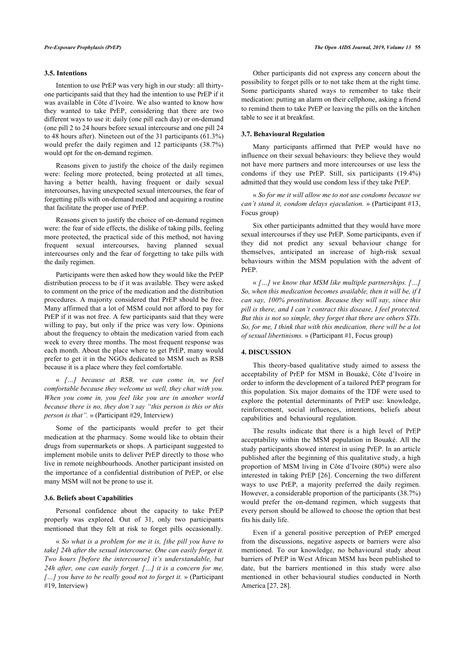#### **3.5. Intentions**

Intention to use PrEP was very high in our study: all thirtyone participants said that they had the intention to use PrEP if it was available in Côte d'Ivoire. We also wanted to know how they wanted to take PrEP, considering that there are two different ways to use it: daily (one pill each day) or on-demand (one pill 2 to 24 hours before sexual intercourse and one pill 24 to 48 hours after). Nineteen out of the 31 participants (61.3%) would prefer the daily regimen and 12 participants (38.7%) would opt for the on-demand regimen.

Reasons given to justify the choice of the daily regimen were: feeling more protected, being protected at all times, having a better health, having frequent or daily sexual intercourses, having unexpected sexual intercourses, the fear of forgetting pills with on-demand method and acquiring a routine that facilitate the proper use of PrEP.

Reasons given to justify the choice of on-demand regimen were: the fear of side effects, the dislike of taking pills, feeling more protected, the practical side of this method, not having frequent sexual intercourses, having planned sexual intercourses only and the fear of forgetting to take pills with the daily regimen.

Participants were then asked how they would like the PrEP distribution process to be if it was available. They were asked to comment on the price of the medication and the distribution procedures. A majority considered that PrEP should be free. Many affirmed that a lot of MSM could not afford to pay for PrEP if it was not free. A few participants said that they were willing to pay, but only if the price was very low. Opinions about the frequency to obtain the medication varied from each week to every three months. The most frequent response was each month. About the place where to get PrEP, many would prefer to get it in the NGOs dedicated to MSM such as RSB because it is a place where they feel comfortable.

« *[…] because at RSB, we can come in, we feel comfortable because they welcome us well, they chat with you. When you come in, you feel like you are in another world because there is no, they don't say "this person is this or this person is that".* » (Participant #29, Interview)

Some of the participants would prefer to get their medication at the pharmacy. Some would like to obtain their drugs from supermarkets or shops. A participant suggested to implement mobile units to deliver PrEP directly to those who live in remote neighbourhoods. Another participant insisted on the importance of a confidential distribution of PrEP, or else many MSM will not be prone to use it.

#### **3.6. Beliefs about Capabilities**

Personal confidence about the capacity to take PrEP properly was explored. Out of 31, only two participants mentioned that they felt at risk to forget pills occasionally.

« *So what is a problem for me it is, [the pill you have to take] 24h after the sexual intercourse. One can easily forget it. Two hours [before the intercourse] it's understandable, but 24h after, one can easily forget. […] it is a concern for me, […] you have to be really good not to forget it.* » (Participant #19, Interview)

Other participants did not express any concern about the possibility to forget pills or to not take them at the right time. Some participants shared ways to remember to take their medication: putting an alarm on their cellphone, asking a friend to remind them to take PrEP or leaving the pills on the kitchen table to see it at breakfast.

#### **3.7. Behavioural Regulation**

Many participants affirmed that PrEP would have no influence on their sexual behaviours: they believe they would not have more partners and more intercourses or use less the condoms if they use PrEP. Still, six participants (19.4%) admitted that they would use condom less if they take PrEP.

« *So for me it will allow me to not use condoms because we can't stand it, condom delays ejaculation.* » (Participant #13, Focus group)

Six other participants admitted that they would have more sexual intercourses if they use PrEP. Some participants, even if they did not predict any sexual behaviour change for themselves, anticipated an increase of high-risk sexual behaviours within the MSM population with the advent of PrEP.

« *[…] we know that MSM like multiple partnerships. […] So, when this medication becomes available, then it will be, if I can say, 100% prostitution. Because they will say, since this pill is there, and I can't contract this disease, I feel protected. But this is not so simple, they forget that there are others STIs. So, for me, I think that with this medication, there will be a lot of sexual libertinisms.* » (Participant #1, Focus group)

#### **4. DISCUSSION**

This theory-based qualitative study aimed to assess the acceptability of PrEP for MSM in Bouaké, Côte d'Ivoire in order to inform the development of a tailored PrEP program for this population. Six major domains of the TDF were used to explore the potential determinants of PrEP use: knowledge, reinforcement, social influences, intentions, beliefs about capabilities and behavioural regulation.

The results indicate that there is a high level of PrEP acceptability within the MSM population in Bouaké. All the study participants showed interest in using PrEP. In an article published after the beginning of this qualitative study, a high proportion of MSM living in Côte d'Ivoire (80%) were also interested in taking PrEP [[26\]](#page-8-22). Concerning the two different ways to use PrEP, a majority preferred the daily regimen. However, a considerable proportion of the participants (38.7%) would prefer the on-demand regimen, which suggests that every person should be allowed to choose the option that best fits his daily life.

Even if a general positive perception of PrEP emerged from the discussions, negative aspects or barriers were also mentioned. To our knowledge, no behavioural study about barriers of PrEP in West African MSM has been published to date, but the barriers mentioned in this study were also mentioned in other behavioural studies conducted in North America [\[27](#page-8-23), [28\]](#page-8-24).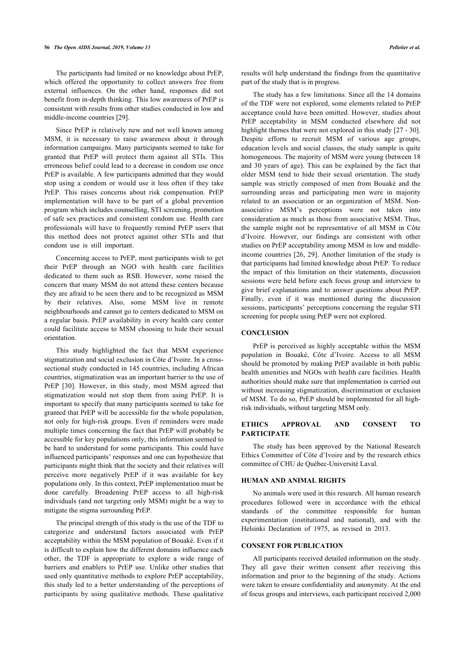The participants had limited or no knowledge about PrEP, which offered the opportunity to collect answers free from external influences. On the other hand, responses did not benefit from in-depth thinking. This low awareness of PrEP is consistent with results from other studies conducted in low and middle-income countries [[29\]](#page-8-25).

Since PrEP is relatively new and not well known among MSM, it is necessary to raise awareness about it through information campaigns. Many participants seemed to take for granted that PrEP will protect them against all STIs. This erroneous belief could lead to a decrease in condom use once PrEP is available. A few participants admitted that they would stop using a condom or would use it less often if they take PrEP. This raises concerns about risk compensation. PrEP implementation will have to be part of a global prevention program which includes counselling, STI screening, promotion of safe sex practices and consistent condom use. Health care professionals will have to frequently remind PrEP users that this method does not protect against other STIs and that condom use is still important.

Concerning access to PrEP, most participants wish to get their PrEP through an NGO with health care facilities dedicated to them such as RSB. However, some raised the concern that many MSM do not attend these centers because they are afraid to be seen there and to be recognized as MSM by their relatives. Also, some MSM live in remote neighbourhoods and cannot go to centers dedicated to MSM on a regular basis. PrEP availability in every health care center could facilitate access to MSM choosing to hide their sexual orientation.

This study highlighted the fact that MSM experience stigmatization and social exclusion in Côte d'Ivoire. In a crosssectional study conducted in 145 countries, including African countries, stigmatization was an important barrier to the use of PrEP[[30\]](#page-9-0). However, in this study, most MSM agreed that stigmatization would not stop them from using PrEP. It is important to specify that many participants seemed to take for granted that PrEP will be accessible for the whole population, not only for high-risk groups. Even if reminders were made multiple times concerning the fact that PrEP will probably be accessible for key populations only, this information seemed to be hard to understand for some participants. This could have influenced participants' responses and one can hypothesize that participants might think that the society and their relatives will perceive more negatively PrEP if it was available for key populations only. In this context, PrEP implementation must be done carefully. Broadening PrEP access to all high-risk individuals (and not targeting only MSM) might be a way to mitigate the stigma surrounding PrEP.

The principal strength of this study is the use of the TDF to categorize and understand factors associated with PrEP acceptability within the MSM population of Bouaké. Even if it is difficult to explain how the different domains influence each other, the TDF is appropriate to explore a wide range of barriers and enablers to PrEP use. Unlike other studies that used only quantitative methods to explore PrEP acceptability, this study led to a better understanding of the perceptions of participants by using qualitative methods. These qualitative

results will help understand the findings from the quantitative part of the study that is in progress.

The study has a few limitations. Since all the 14 domains of the TDF were not explored, some elements related to PrEP acceptance could have been omitted. However, studies about PrEP acceptability in MSM conducted elsewhere did not highlight themes that were not explored in this study [\[27](#page-8-23) - [30](#page-9-0)]. Despite efforts to recruit MSM of various age groups, education levels and social classes, the study sample is quite homogeneous. The majority of MSM were young (between 18 and 30 years of age). This can be explained by the fact that older MSM tend to hide their sexual orientation. The study sample was strictly composed of men from Bouaké and the surrounding areas and participating men were in majority related to an association or an organization of MSM. Nonassociative MSM's perceptions were not taken into consideration as much as those from associative MSM. Thus, the sample might not be representative of all MSM in Côte d'Ivoire. However, our findings are consistent with other studies on PrEP acceptability among MSM in low and middleincome countries [\[26](#page-8-22), [29](#page-8-25)]. Another limitation of the study is that participants had limited knowledge about PrEP. To reduce the impact of this limitation on their statements, discussion sessions were held before each focus group and interview to give brief explanations and to answer questions about PrEP. Finally, even if it was mentioned during the discussion sessions, participants' perceptions concerning the regular STI screening for people using PrEP were not explored.

### **CONCLUSION**

PrEP is perceived as highly acceptable within the MSM population in Bouaké, Côte d'Ivoire. Access to all MSM should be promoted by making PrEP available in both public health amenities and NGOs with health care facilities. Health authorities should make sure that implementation is carried out without increasing stigmatization, discrimination or exclusion of MSM. To do so, PrEP should be implemented for all highrisk individuals, without targeting MSM only.

#### **ETHICS APPROVAL AND CONSENT TO PARTICIPATE**

The study has been approved by the National Research Ethics Committee of Côte d'Ivoire and by the research ethics committee of CHU de Québec-Université Laval.

#### **HUMAN AND ANIMAL RIGHTS**

No animals were used in this research. All human research procedures followed were in accordance with the ethical standards of the committee responsible for human experimentation (institutional and national), and with the Helsinki Declaration of 1975, as revised in 2013.

#### **CONSENT FOR PUBLICATION**

All participants received detailed information on the study. They all gave their written consent after receiving this information and prior to the beginning of the study. Actions were taken to ensure confidentiality and anonymity. At the end of focus groups and interviews, each participant received 2,000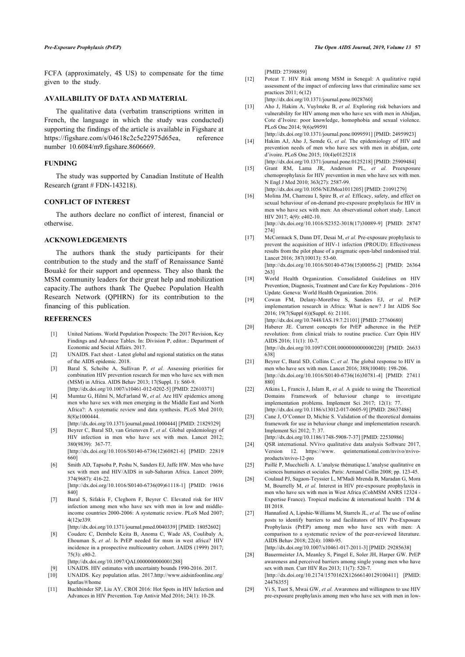<span id="page-8-10"></span>FCFA (approximately, 4\$ US) to compensate for the time given to the study.

### **AVAILABILITY OF DATA AND MATERIAL**

<span id="page-8-11"></span>The qualitative data (verbatim transcriptions written in French, the language in which the study was conducted) supporting the findings of the article is available in Figshare at https://figshare.com/s/04618c2c5e22975d65ea, reference number 10.6084/m9.figshare.8606669.

#### <span id="page-8-13"></span><span id="page-8-12"></span>**FUNDING**

The study was supported by Canadian Institute of Health Research (grant # FDN-143218).

### **CONFLICT OF INTEREST**

The authors declare no conflict of interest, financial or otherwise.

### <span id="page-8-14"></span>**ACKNOWLEDGEMENTS**

<span id="page-8-15"></span>The authors thank the study participants for their contribution to the study and the staff of Renaissance Santé Bouaké for their support and openness. They also thank the MSM community leaders for their great help and mobilization capacity.The authors thank The Quebec Population Health Research Network (QPHRN) for its contribution to the financing of this publication.

#### <span id="page-8-16"></span><span id="page-8-0"></span>**REFERENCES**

- [1] United Nations. World Population Prospects: The 2017 Revision, Key Findings and Advance Tables. In: Division P, editor.: Department of Economic and Social Affairs. 2017.
- <span id="page-8-1"></span>[2] UNAIDS. Fact sheet - Latest global and regional statistics on the status of the AIDS epidemic. 2018.
- <span id="page-8-17"></span><span id="page-8-2"></span>[3] Baral S, Scheibe A, Sullivan P, *et al.* Assessing priorities for combination HIV prevention research for men who have sex with men (MSM) in Africa. AIDS Behav 2013; 17(Suppl. 1): S60-9. [\[http://dx.doi.org/10.1007/s10461-012-0202-5](http://dx.doi.org/10.1007/s10461-012-0202-5)] [PMID: [22610371\]](http://www.ncbi.nlm.nih.gov/pubmed/22610371)
- <span id="page-8-18"></span>[4] Mumtaz G, Hilmi N, McFarland W, *et al.* Are HIV epidemics among men who have sex with men emerging in the Middle East and North Africa?: A systematic review and data synthesis. PLoS Med 2010; 8(8)e1000444.
- <span id="page-8-19"></span><span id="page-8-3"></span>[\[http://dx.doi.org/10.1371/journal.pmed.1000444\]](http://dx.doi.org/10.1371/journal.pmed.1000444) [PMID: [21829329](http://www.ncbi.nlm.nih.gov/pubmed/21829329)] [5] Beyrer C, Baral SD, van Griensven F, *et al.* Global epidemiology of
- HIV infection in men who have sex with men. Lancet 2012; 380(9839): 367-77. [\[http://dx.doi.org/10.1016/S0140-6736\(12\)60821-6](http://dx.doi.org/10.1016/S0140-6736(12)60821-6)] [PMID: [22819](http://www.ncbi.nlm.nih.gov/pubmed/22819%20660)
- <span id="page-8-21"></span><span id="page-8-20"></span><span id="page-8-4"></span>[660](http://www.ncbi.nlm.nih.gov/pubmed/22819%20660)] [6] Smith AD, Tapsoba P, Peshu N, Sanders EJ, Jaffe HW. Men who have
- <span id="page-8-22"></span>sex with men and HIV/AIDS in sub-Saharan Africa. Lancet 2009; 374(9687): 416-22. [\[http://dx.doi.org/10.1016/S0140-6736\(09\)61118-1](http://dx.doi.org/10.1016/S0140-6736(09)61118-1)] [PMID: [19616](http://www.ncbi.nlm.nih.gov/pubmed/19616%20840) [840](http://www.ncbi.nlm.nih.gov/pubmed/19616%20840)]
- <span id="page-8-23"></span><span id="page-8-5"></span>[7] Baral S, Sifakis F, Cleghorn F, Beyrer C. Elevated risk for HIV infection among men who have sex with men in low and middleincome countries 2000-2006: A systematic review. PLoS Med 2007; 4(12)e339.
	- [\[http://dx.doi.org/10.1371/journal.pmed.0040339\]](http://dx.doi.org/10.1371/journal.pmed.0040339) [PMID: [18052602](http://www.ncbi.nlm.nih.gov/pubmed/18052602)]
- <span id="page-8-6"></span>[8] Couderc C, Dembele Keita B, Anoma C, Wade AS, Coulibaly A, Ehouman S, *et al.* Is PrEP needed for msm in west africa? HIV incidence in a prospective multicountry cohort. JAIDS (1999) 2017; 75(3): e80-2.
	- [\[http://dx.doi.org/10.1097/QAI.0000000000001288](http://dx.doi.org/10.1097/QAI.0000000000001288)]
- <span id="page-8-24"></span>[9] UNAIDS. HIV estimates with uncertainty bounds 1990-2016. 2017.
- <span id="page-8-8"></span><span id="page-8-7"></span>[10] UNAIDS. Key population atlas. 2017.[http://www.aidsinfoonline.org/](http://www.aidsinfoonline.org/kpatlas/#/home) [kpatlas/#/home](http://www.aidsinfoonline.org/kpatlas/#/home)
- <span id="page-8-25"></span><span id="page-8-9"></span>[11] Buchbinder SP, Liu AY. CROI 2016: Hot Spots in HIV Infection and Advances in HIV Prevention. Top Antivir Med 2016; 24(1): 10-28.

[PMID: [27398859\]](http://www.ncbi.nlm.nih.gov/pubmed/27398859)

- [12] Poteat T. HIV Risk among MSM in Senegal: A qualitative rapid assessment of the impact of enforcing laws that criminalize same sex practices 2011; 6(12)
	- [\[http://dx.doi.org/10.1371/journal.pone.0028760\]](http://dx.doi.org/10.1371/journal.pone.0028760)
- [13] Aho J, Hakim A, Vuylsteke B, et al. Exploring risk behaviors and vulnerability for HIV among men who have sex with men in Abidjan, Cote d'Ivoire: poor knowledge, homophobia and sexual violence. PLoS One 2014; 9(6)e99591 [\[http://dx.doi.org/10.1371/journal.pone.0099591\]](http://dx.doi.org/10.1371/journal.pone.0099591) [PMID: [24959923\]](http://www.ncbi.nlm.nih.gov/pubmed/24959923)
- [14] Hakim AJ, Aho J, Semde G, *et al.* The epidemiology of HIV and prevention needs of men who have sex with men in abidjan, cote d'ivoire. PLoS One 2015; 10(4)e0125218 [\[http://dx.doi.org/10.1371/journal.pone.0125218\]](http://dx.doi.org/10.1371/journal.pone.0125218) [PMID: [25909484\]](http://www.ncbi.nlm.nih.gov/pubmed/25909484)
- [15] Grant RM, Lama JR, Anderson PL, *et al.* Preexposure chemoprophylaxis for HIV prevention in men who have sex with men. N Engl J Med 2010; 363(27): 2587-99.
- [\[http://dx.doi.org/10.1056/NEJMoa1011205\]](http://dx.doi.org/10.1056/NEJMoa1011205) [PMID: [21091279](http://www.ncbi.nlm.nih.gov/pubmed/21091279)]
- [16] Molina JM, Charreau I, Spire B, *et al.* Efficacy, safety, and effect on sexual behaviour of on-demand pre-exposure prophylaxis for HIV in men who have sex with men: An observational cohort study. Lancet HIV 2017; 4(9): e402-10. [\[http://dx.doi.org/10.1016/S2352-3018\(17\)30089-9](http://dx.doi.org/10.1016/S2352-3018(17)30089-9)] [PMID: [28747](http://www.ncbi.nlm.nih.gov/pubmed/28747%20274)

[274](http://www.ncbi.nlm.nih.gov/pubmed/28747%20274)]

- [17] McCormack S, Dunn DT, Desai M, *et al.* Pre-exposure prophylaxis to prevent the acquisition of HIV-1 infection (PROUD): Effectiveness results from the pilot phase of a pragmatic open-label randomised trial. Lancet 2016; 387(10013): 53-60. [\[http://dx.doi.org/10.1016/S0140-6736\(15\)00056-2](http://dx.doi.org/10.1016/S0140-6736(15)00056-2)] [PMID: [26364](http://www.ncbi.nlm.nih.gov/pubmed/26364%20263) [263](http://www.ncbi.nlm.nih.gov/pubmed/26364%20263)]
- [18] World Health Organization. Consolidated Guidelines on HIV Prevention, Diagnosis, Treatment and Care for Key Populations - 2016 Update. Geneva: World Health Organization. 2016.
- [19] Cowan FM, Delany-Moretlwe S, Sanders EJ, *et al.* PrEP implementation research in Africa: What is new? J Int AIDS Soc 2016; 19(7(Suppl 6))(Suppl. 6): 21101. [\[http://dx.doi.org/10.7448/IAS.19.7.21101\]](http://dx.doi.org/10.7448/IAS.19.7.21101) [PMID: [27760680\]](http://www.ncbi.nlm.nih.gov/pubmed/27760680)
- [20] Haberer JE. Current concepts for PrEP adherence in the PrEP revolution: from clinical trials to routine practice. Curr Opin HIV AIDS 2016; 11(1): 10-7. [\[http://dx.doi.org/10.1097/COH.0000000000000220\]](http://dx.doi.org/10.1097/COH.0000000000000220) [PMID: [26633](http://www.ncbi.nlm.nih.gov/pubmed/26633%20638) [638](http://www.ncbi.nlm.nih.gov/pubmed/26633%20638)]
- [21] Beyrer C, Baral SD, Collins C, *et al.* The global response to HIV in men who have sex with men. Lancet 2016; 388(10040): 198-206. [\[http://dx.doi.org/10.1016/S0140-6736\(16\)30781-4](http://dx.doi.org/10.1016/S0140-6736(16)30781-4)] [PMID: [27411](http://www.ncbi.nlm.nih.gov/pubmed/27411%20880) [880](http://www.ncbi.nlm.nih.gov/pubmed/27411%20880)]
- [22] Atkins L, Francis J, Islam R, *et al.* A guide to using the Theoretical Domains Framework of behaviour change to investigate implementation problems. Implement Sci 2017; 12(1): 77. [\[http://dx.doi.org/10.1186/s13012-017-0605-9\]](http://dx.doi.org/10.1186/s13012-017-0605-9) [PMID: [28637486](http://www.ncbi.nlm.nih.gov/pubmed/28637486)]
- [23] Cane J, O'Connor D, Michie S, Validation of the theoretical domains framework for use in behaviour change and implementation research. Implement Sci 2012; 7: 37.
- [\[http://dx.doi.org/10.1186/1748-5908-7-37\]](http://dx.doi.org/10.1186/1748-5908-7-37) [PMID: [22530986\]](http://www.ncbi.nlm.nih.gov/pubmed/22530986)
- [24] QSR international. NVivo qualitative data analysis Software 2017, Version 12. [https://www. qsrinternational.com/nvivo/nvivo](https://www.qsrinternational.com/nvivo/nvivo-products/nvivo-12-pro)[products/nvivo-12-pro](https://www.qsrinternational.com/nvivo/nvivo-products/nvivo-12-pro)
- [25] Paillé P, Mucchielli A. L'analyse thématique.L'analyse qualitative en sciences humaines et sociales. Paris: Armand Collin 2008; pp. 123-45.
- [26] Coulaud PJ, Sagaon-Teyssier L, M'Madi Mrenda B, Maradan G, Mora M, Bourrelly M, *et al.* Interest in HIV pre-exposure prophylaxis in men who have sex with men in West Africa (CohMSM ANRS 12324 - Expertise France). Tropical medicine & international health : TM & IH 2018.
- [27] Hannaford A, Lipshie-Williams M, Starrels JL, *et al.* The use of online posts to identify barriers to and facilitators of HIV Pre-Exposure Prophylaxis (PrEP) among men who have sex with men: A comparison to a systematic review of the peer-reviewed literature. AIDS Behav 2018; 22(4): 1080-95.

[\[http://dx.doi.org/10.1007/s10461-017-2011-3\]](http://dx.doi.org/10.1007/s10461-017-2011-3) [PMID: [29285638](http://www.ncbi.nlm.nih.gov/pubmed/29285638)]

- [28] Bauermeister JA, Meanley S, Pingel E, Soler JH, Harper GW. PrEP awareness and perceived barriers among single young men who have sex with men. Curr HIV Res 2013; 11(7): 520-7. [\[http://dx.doi.org/10.2174/1570162X12666140129100411\]](http://dx.doi.org/10.2174/1570162X12666140129100411) [PMID: [24476355\]](http://www.ncbi.nlm.nih.gov/pubmed/24476355)
- [29] Yi S, Tuot S, Mwai GW, *et al.* Awareness and willingness to use HIV pre-exposure prophylaxis among men who have sex with men in low-